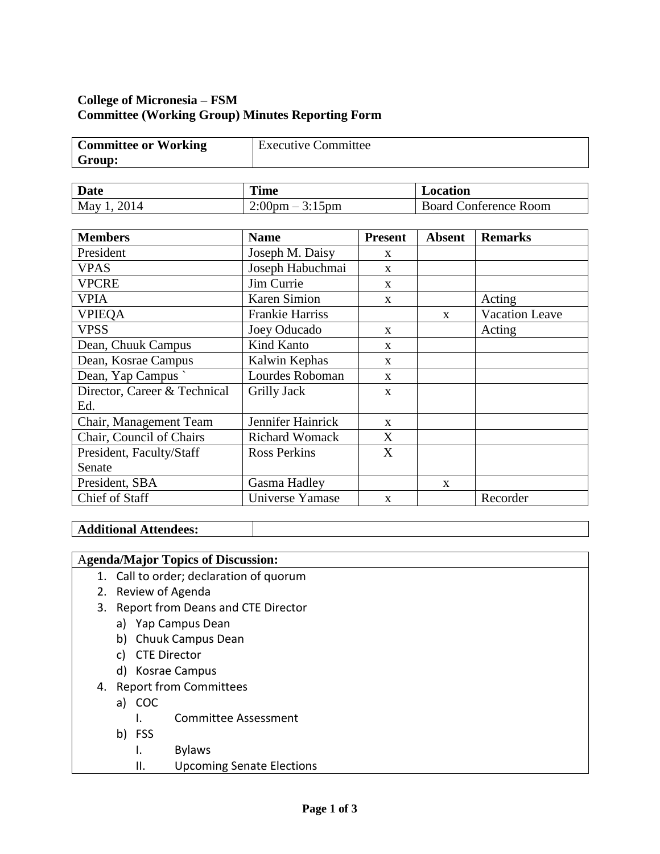# **College of Micronesia – FSM Committee (Working Group) Minutes Reporting Form**

| <b>Committee or Working</b> | <b>Executive Committee</b> |
|-----------------------------|----------------------------|
| Group:                      |                            |

| <b>Date</b>        | <b>Time</b>                                                 | Location                   |
|--------------------|-------------------------------------------------------------|----------------------------|
| <b>May</b><br>2014 | 2:00 <sub>pm</sub><br>$3:15$ pm<br>$\overline{\phantom{0}}$ | Conference Room<br>Board C |

| <b>Members</b>               | <b>Name</b>            | <b>Present</b> | <b>Absent</b> | <b>Remarks</b>        |
|------------------------------|------------------------|----------------|---------------|-----------------------|
| President                    | Joseph M. Daisy        | $\mathbf{X}$   |               |                       |
| <b>VPAS</b>                  | Joseph Habuchmai       | X              |               |                       |
| <b>VPCRE</b>                 | Jim Currie             | $\mathbf{x}$   |               |                       |
| <b>VPIA</b>                  | Karen Simion           | X              |               | Acting                |
| <b>VPIEQA</b>                | <b>Frankie Harriss</b> |                | $\mathbf{x}$  | <b>Vacation Leave</b> |
| <b>VPSS</b>                  | Joey Oducado           | $\mathbf{x}$   |               | Acting                |
| Dean, Chuuk Campus           | Kind Kanto             | $\mathbf{X}$   |               |                       |
| Dean, Kosrae Campus          | Kalwin Kephas          | X              |               |                       |
| Dean, Yap Campus             | Lourdes Roboman        | $\mathbf{x}$   |               |                       |
| Director, Career & Technical | Grilly Jack            | $\mathbf X$    |               |                       |
| Ed.                          |                        |                |               |                       |
| Chair, Management Team       | Jennifer Hainrick      | $\mathbf{x}$   |               |                       |
| Chair, Council of Chairs     | <b>Richard Womack</b>  | X              |               |                       |
| President, Faculty/Staff     | <b>Ross Perkins</b>    | X              |               |                       |
| Senate                       |                        |                |               |                       |
| President, SBA               | Gasma Hadley           |                | X             |                       |
| Chief of Staff               | Universe Yamase        | $\mathbf{X}$   |               | Recorder              |

# **Additional Attendees:**

# A**genda/Major Topics of Discussion:**

- 1. Call to order; declaration of quorum
- 2. Review of Agenda
- 3. Report from Deans and CTE Director
	- a) Yap Campus Dean
	- b) Chuuk Campus Dean
	- c) CTE Director
	- d) Kosrae Campus
- 4. Report from Committees
	- a) COC
		- I. Committee Assessment
	- b) FSS
		- I. Bylaws
		- II. Upcoming Senate Elections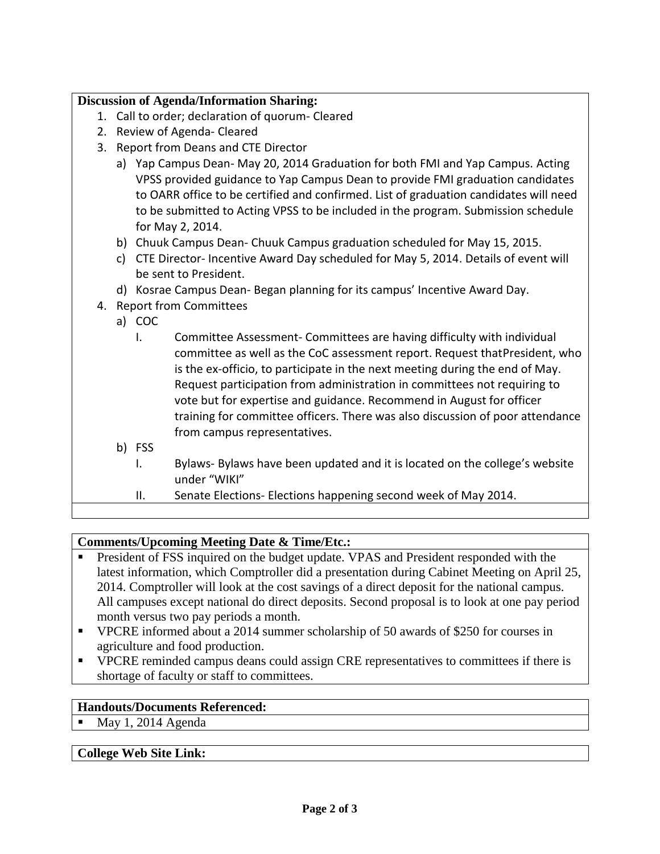#### **Discussion of Agenda/Information Sharing:**

- 1. Call to order; declaration of quorum- Cleared
- 2. Review of Agenda- Cleared
- 3. Report from Deans and CTE Director
	- a) Yap Campus Dean- May 20, 2014 Graduation for both FMI and Yap Campus. Acting VPSS provided guidance to Yap Campus Dean to provide FMI graduation candidates to OARR office to be certified and confirmed. List of graduation candidates will need to be submitted to Acting VPSS to be included in the program. Submission schedule for May 2, 2014.
	- b) Chuuk Campus Dean- Chuuk Campus graduation scheduled for May 15, 2015.
	- c) CTE Director- Incentive Award Day scheduled for May 5, 2014. Details of event will be sent to President.
	- d) Kosrae Campus Dean- Began planning for its campus' Incentive Award Day.
- 4. Report from Committees
	- a) COC
		- I. Committee Assessment- Committees are having difficulty with individual committee as well as the CoC assessment report. Request thatPresident, who is the ex-officio, to participate in the next meeting during the end of May. Request participation from administration in committees not requiring to vote but for expertise and guidance. Recommend in August for officer training for committee officers. There was also discussion of poor attendance from campus representatives.
	- b) FSS
		- I. Bylaws- Bylaws have been updated and it is located on the college's website under "WIKI"
		- II. Senate Elections- Elections happening second week of May 2014.

#### **Comments/Upcoming Meeting Date & Time/Etc.:**

- President of FSS inquired on the budget update. VPAS and President responded with the latest information, which Comptroller did a presentation during Cabinet Meeting on April 25, 2014. Comptroller will look at the cost savings of a direct deposit for the national campus. All campuses except national do direct deposits. Second proposal is to look at one pay period month versus two pay periods a month.
- VPCRE informed about a 2014 summer scholarship of 50 awards of \$250 for courses in agriculture and food production.
- VPCRE reminded campus deans could assign CRE representatives to committees if there is shortage of faculty or staff to committees.

### **Handouts/Documents Referenced:**

 $Max 1, 2014$  Agenda

#### **College Web Site Link:**